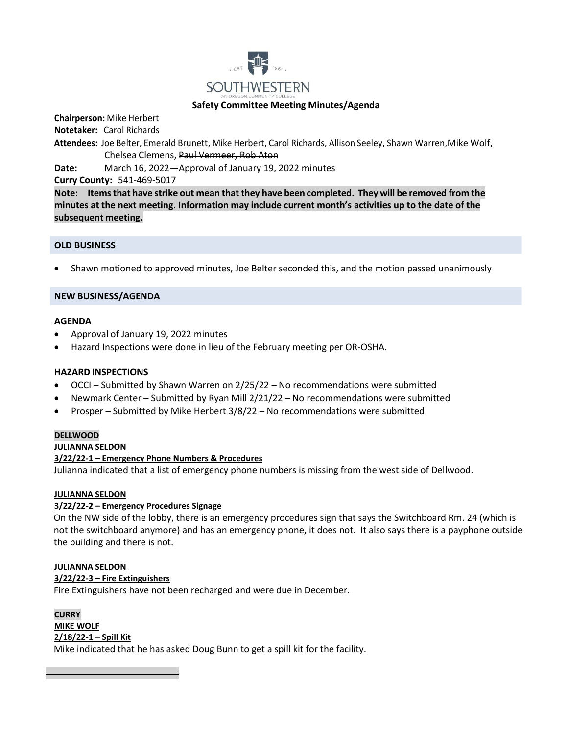

## **Safety Committee Meeting Minutes/Agenda**

**Chairperson:** Mike Herbert

**Notetaker:** Carol Richards

Attendees: Joe Belter, Emerald Brunett, Mike Herbert, Carol Richards, Allison Seeley, Shawn Warren<del>, Mike Wolf</del>, Chelsea Clemens, Paul Vermeer, Rob Aton

**Date:** March 16, 2022—Approval of January 19, 2022 minutes

**Curry County:** 541-469-5017

**Note: Itemsthat have strike out mean that they have been completed. They will be removed from the minutes at the next meeting. Information may include current month's activities up to the date of the subsequent meeting.**

#### **OLD BUSINESS**

• Shawn motioned to approved minutes, Joe Belter seconded this, and the motion passed unanimously

#### **NEW BUSINESS/AGENDA**

#### **AGENDA**

- Approval of January 19, 2022 minutes
- Hazard Inspections were done in lieu of the February meeting per OR-OSHA.

#### **HAZARD INSPECTIONS**

- OCCI Submitted by Shawn Warren on 2/25/22 No recommendations were submitted
- Newmark Center Submitted by Ryan Mill 2/21/22 No recommendations were submitted
- Prosper Submitted by Mike Herbert 3/8/22 No recommendations were submitted

# **DELLWOOD**

# **JULIANNA SELDON**

## **3/22/22-1 – Emergency Phone Numbers & Procedures**

Julianna indicated that a list of emergency phone numbers is missing from the west side of Dellwood.

#### **JULIANNA SELDON**

#### **3/22/22-2 – Emergency Procedures Signage**

On the NW side of the lobby, there is an emergency procedures sign that says the Switchboard Rm. 24 (which is not the switchboard anymore) and has an emergency phone, it does not. It also says there is a payphone outside the building and there is not.

# **JULIANNA SELDON**

# **3/22/22-3 – Fire Extinguishers**

Fire Extinguishers have not been recharged and were due in December.

**CURRY MIKE WOLF 2/18/22-1 – Spill Kit**

Mike indicated that he has asked Doug Bunn to get a spill kit for the facility.